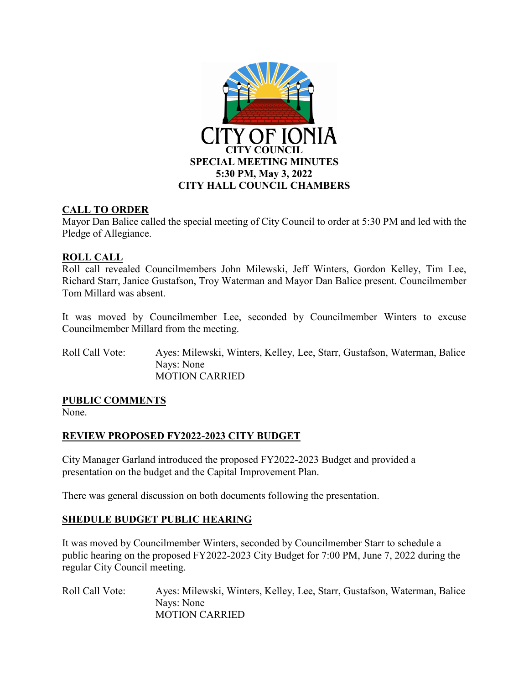

## **CALL TO ORDER**

Mayor Dan Balice called the special meeting of City Council to order at 5:30 PM and led with the Pledge of Allegiance.

## **ROLL CALL**

Roll call revealed Councilmembers John Milewski, Jeff Winters, Gordon Kelley, Tim Lee, Richard Starr, Janice Gustafson, Troy Waterman and Mayor Dan Balice present. Councilmember Tom Millard was absent.

It was moved by Councilmember Lee, seconded by Councilmember Winters to excuse Councilmember Millard from the meeting.

Roll Call Vote: Ayes: Milewski, Winters, Kelley, Lee, Starr, Gustafson, Waterman, Balice Nays: None MOTION CARRIED

#### **PUBLIC COMMENTS**

None.

#### **REVIEW PROPOSED FY2022-2023 CITY BUDGET**

City Manager Garland introduced the proposed FY2022-2023 Budget and provided a presentation on the budget and the Capital Improvement Plan.

There was general discussion on both documents following the presentation.

#### **SHEDULE BUDGET PUBLIC HEARING**

It was moved by Councilmember Winters, seconded by Councilmember Starr to schedule a public hearing on the proposed FY2022-2023 City Budget for 7:00 PM, June 7, 2022 during the regular City Council meeting.

Roll Call Vote: Ayes: Milewski, Winters, Kelley, Lee, Starr, Gustafson, Waterman, Balice Nays: None MOTION CARRIED